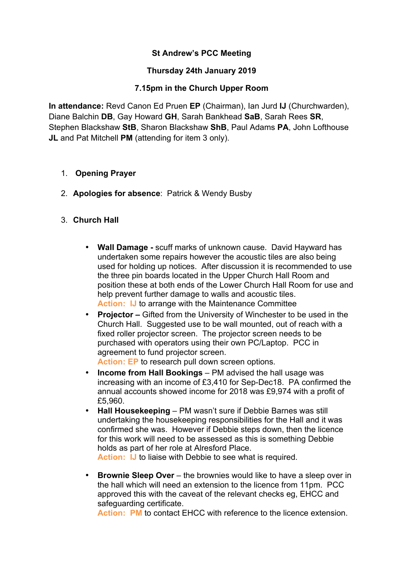### **St Andrew's PCC Meeting**

#### **Thursday 24th January 2019**

#### **7.15pm in the Church Upper Room**

**In attendance:** Revd Canon Ed Pruen **EP** (Chairman), Ian Jurd **IJ** (Churchwarden), Diane Balchin **DB**, Gay Howard **GH**, Sarah Bankhead **SaB**, Sarah Rees **SR**, Stephen Blackshaw **StB**, Sharon Blackshaw **ShB**, Paul Adams **PA**, John Lofthouse **JL** and Pat Mitchell **PM** (attending for item 3 only).

- 1. **Opening Prayer**
- 2. **Apologies for absence**: Patrick & Wendy Busby
- 3. **Church Hall**
	- **Wall Damage -** scuff marks of unknown cause. David Hayward has undertaken some repairs however the acoustic tiles are also being used for holding up notices. After discussion it is recommended to use the three pin boards located in the Upper Church Hall Room and position these at both ends of the Lower Church Hall Room for use and help prevent further damage to walls and acoustic tiles. **Action: IJ** to arrange with the Maintenance Committee
	- **Projector –** Gifted from the University of Winchester to be used in the Church Hall. Suggested use to be wall mounted, out of reach with a fixed roller projector screen. The projector screen needs to be purchased with operators using their own PC/Laptop. PCC in agreement to fund projector screen.

Action: EP to research pull down screen options.

- **Income from Hall Bookings** PM advised the hall usage was increasing with an income of £3,410 for Sep-Dec18. PA confirmed the annual accounts showed income for 2018 was £9,974 with a profit of £5,960.
- **Hall Housekeeping** PM wasn't sure if Debbie Barnes was still undertaking the housekeeping responsibilities for the Hall and it was confirmed she was. However if Debbie steps down, then the licence for this work will need to be assessed as this is something Debbie holds as part of her role at Alresford Place.

**Action: IJ** to liaise with Debbie to see what is required.

• **Brownie Sleep Over** – the brownies would like to have a sleep over in the hall which will need an extension to the licence from 11pm. PCC approved this with the caveat of the relevant checks eg, EHCC and safeguarding certificate.

**Action: PM** to contact EHCC with reference to the licence extension.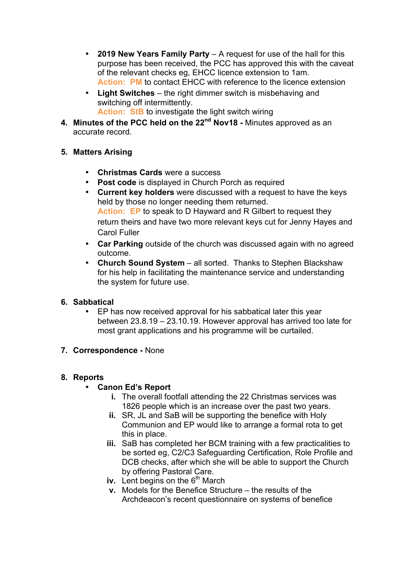- **2019 New Years Family Party** A request for use of the hall for this purpose has been received, the PCC has approved this with the caveat of the relevant checks eg, EHCC licence extension to 1am. **Action: PM** to contact EHCC with reference to the licence extension
- **Light Switches** the right dimmer switch is misbehaving and switching off intermittently. **Action: StB** to investigate the light switch wiring
- **4. Minutes of the PCC held on the 22nd Nov18 -** Minutes approved as an accurate record.
- **5. Matters Arising** 
	- **Christmas Cards** were a success
	- **Post code** is displayed in Church Porch as required
	- **Current key holders** were discussed with a request to have the keys held by those no longer needing them returned. **Action: EP** to speak to D Hayward and R Gilbert to request they return theirs and have two more relevant keys cut for Jenny Hayes and Carol Fuller
	- **Car Parking** outside of the church was discussed again with no agreed outcome.
	- **Church Sound System** all sorted. Thanks to Stephen Blackshaw for his help in facilitating the maintenance service and understanding the system for future use.

# **6. Sabbatical**

• EP has now received approval for his sabbatical later this year between 23.8.19 – 23.10.19. However approval has arrived too late for most grant applications and his programme will be curtailed.

### **7. Correspondence -** None

### **8. Reports**

# • **Canon Ed's Report**

- **i.** The overall footfall attending the 22 Christmas services was 1826 people which is an increase over the past two years.
- **ii.** SR, JL and SaB will be supporting the benefice with Holy Communion and EP would like to arrange a formal rota to get this in place.
- **iii.** SaB has completed her BCM training with a few practicalities to be sorted eg, C2/C3 Safeguarding Certification, Role Profile and DCB checks, after which she will be able to support the Church by offering Pastoral Care.
- **iv.** Lent begins on the 6<sup>th</sup> March
- **v.** Models for the Benefice Structure the results of the Archdeacon's recent questionnaire on systems of benefice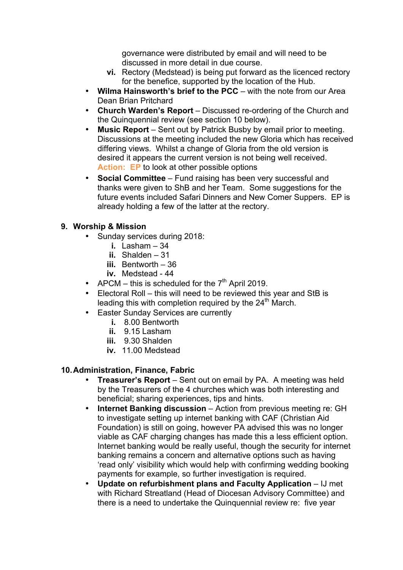governance were distributed by email and will need to be discussed in more detail in due course.

- **vi.** Rectory (Medstead) is being put forward as the licenced rectory for the benefice, supported by the location of the Hub.
- **Wilma Hainsworth's brief to the PCC** with the note from our Area Dean Brian Pritchard
- **Church Warden's Report** Discussed re-ordering of the Church and the Quinquennial review (see section 10 below).
- **Music Report**  Sent out by Patrick Busby by email prior to meeting. Discussions at the meeting included the new Gloria which has received differing views. Whilst a change of Gloria from the old version is desired it appears the current version is not being well received. **Action: EP** to look at other possible options
- **Social Committee**  Fund raising has been very successful and thanks were given to ShB and her Team. Some suggestions for the future events included Safari Dinners and New Comer Suppers. EP is already holding a few of the latter at the rectory.

### **9. Worship & Mission**

- Sunday services during 2018:
	- **i.** Lasham 34
	- **ii.** Shalden 31
	- **iii.** Bentworth 36
	- **iv.** Medstead 44
- APCM this is scheduled for the  $7<sup>th</sup>$  April 2019.
- Electoral Roll this will need to be reviewed this year and StB is leading this with completion required by the  $24<sup>th</sup>$  March.
- **Easter Sunday Services are currently** 
	- **i.** 8.00 Bentworth
	- **ii.** 9.15 Lasham
	- **iii.** 9.30 Shalden
	- **iv.** 11.00 Medstead

#### **10.Administration, Finance, Fabric**

- **Treasurer's Report** Sent out on email by PA. A meeting was held by the Treasurers of the 4 churches which was both interesting and beneficial; sharing experiences, tips and hints.
- **Internet Banking discussion** Action from previous meeting re: GH to investigate setting up internet banking with CAF (Christian Aid Foundation) is still on going, however PA advised this was no longer viable as CAF charging changes has made this a less efficient option. Internet banking would be really useful, though the security for internet banking remains a concern and alternative options such as having 'read only' visibility which would help with confirming wedding booking payments for example, so further investigation is required.
- **Update on refurbishment plans and Faculty Application** IJ met with Richard Streatland (Head of Diocesan Advisory Committee) and there is a need to undertake the Quinquennial review re: five year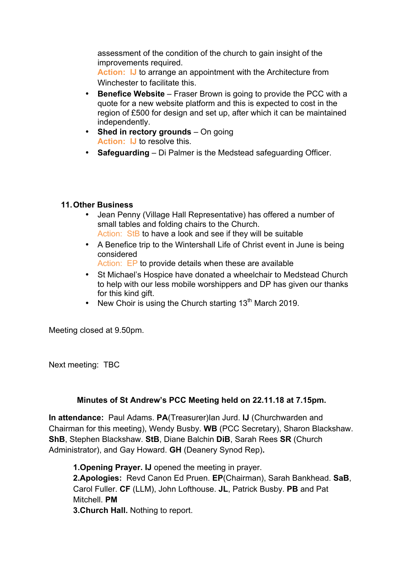assessment of the condition of the church to gain insight of the improvements required.

**Action: IJ** to arrange an appointment with the Architecture from Winchester to facilitate this.

- **Benefice Website** Fraser Brown is going to provide the PCC with a quote for a new website platform and this is expected to cost in the region of £500 for design and set up, after which it can be maintained independently.
- **Shed in rectory grounds** On going **Action: IJ** to resolve this.
- **Safeguarding** Di Palmer is the Medstead safeguarding Officer.

### **11.Other Business**

- Jean Penny (Village Hall Representative) has offered a number of small tables and folding chairs to the Church. Action: StB to have a look and see if they will be suitable
- A Benefice trip to the Wintershall Life of Christ event in June is being considered

Action: EP to provide details when these are available

- St Michael's Hospice have donated a wheelchair to Medstead Church to help with our less mobile worshippers and DP has given our thanks for this kind gift.
- New Choir is using the Church starting  $13<sup>th</sup>$  March 2019.

Meeting closed at 9.50pm.

Next meeting: TBC

# **Minutes of St Andrew's PCC Meeting held on 22.11.18 at 7.15pm.**

**In attendance:** Paul Adams. **PA**(Treasurer)Ian Jurd. **IJ** (Churchwarden and Chairman for this meeting), Wendy Busby. **WB** (PCC Secretary), Sharon Blackshaw. **ShB**, Stephen Blackshaw. **StB**, Diane Balchin **DiB**, Sarah Rees **SR** (Church Administrator), and Gay Howard. **GH** (Deanery Synod Rep)**.**

**1.Opening Prayer. IJ** opened the meeting in prayer.

**2.Apologies:** Revd Canon Ed Pruen. **EP**(Chairman), Sarah Bankhead. **SaB**, Carol Fuller. **CF** (LLM), John Lofthouse. **JL**, Patrick Busby. **PB** and Pat Mitchell. **PM**

**3.Church Hall.** Nothing to report.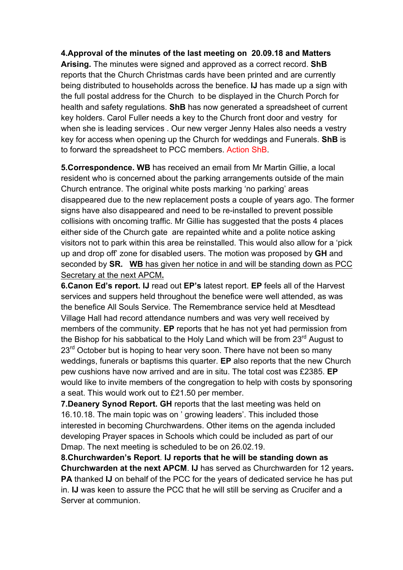**4.Approval of the minutes of the last meeting on 20.09.18 and Matters Arising.** The minutes were signed and approved as a correct record. **ShB** reports that the Church Christmas cards have been printed and are currently being distributed to households across the benefice. **IJ** has made up a sign with the full postal address for the Church to be displayed in the Church Porch for health and safety regulations. **ShB** has now generated a spreadsheet of current key holders. Carol Fuller needs a key to the Church front door and vestry for when she is leading services . Our new verger Jenny Hales also needs a vestry key for access when opening up the Church for weddings and Funerals. **ShB** is to forward the spreadsheet to PCC members. Action ShB.

**5.Correspondence. WB** has received an email from Mr Martin Gillie, a local resident who is concerned about the parking arrangements outside of the main Church entrance. The original white posts marking 'no parking' areas disappeared due to the new replacement posts a couple of years ago. The former signs have also disappeared and need to be re-installed to prevent possible collisions with oncoming traffic. Mr Gillie has suggested that the posts 4 places either side of the Church gate are repainted white and a polite notice asking visitors not to park within this area be reinstalled. This would also allow for a 'pick up and drop off' zone for disabled users. The motion was proposed by **GH** and seconded by **SR. WB** has given her notice in and will be standing down as PCC Secretary at the next APCM**.**

**6.Canon Ed's report. IJ** read out **EP's** latest report. **EP** feels all of the Harvest services and suppers held throughout the benefice were well attended, as was the benefice All Souls Service. The Remembrance service held at Mesdtead Village Hall had record attendance numbers and was very well received by members of the community. **EP** reports that he has not yet had permission from the Bishop for his sabbatical to the Holy Land which will be from  $23<sup>rd</sup>$  August to  $23<sup>rd</sup>$  October but is hoping to hear very soon. There have not been so many weddings, funerals or baptisms this quarter. **EP** also reports that the new Church pew cushions have now arrived and are in situ. The total cost was £2385. **EP** would like to invite members of the congregation to help with costs by sponsoring a seat. This would work out to £21.50 per member.

**7.Deanery Synod Report. GH** reports that the last meeting was held on 16.10.18. The main topic was on ' growing leaders'. This included those interested in becoming Churchwardens. Other items on the agenda included developing Prayer spaces in Schools which could be included as part of our Dmap. The next meeting is scheduled to be on 26.02.19.

**8.Churchwarden's Report**. **IJ reports that he will be standing down as Churchwarden at the next APCM**. **IJ** has served as Churchwarden for 12 years**. PA** thanked **IJ** on behalf of the PCC for the years of dedicated service he has put in. **IJ** was keen to assure the PCC that he will still be serving as Crucifer and a Server at communion.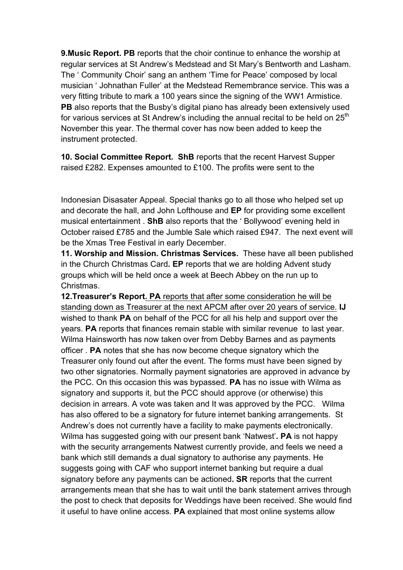**9.Music Report. PB** reports that the choir continue to enhance the worship at regular services at St Andrew's Medstead and St Mary's Bentworth and Lasham. The ' Community Choir' sang an anthem 'Time for Peace' composed by local musician ' Johnathan Fuller' at the Medstead Remembrance service. This was a very fitting tribute to mark a 100 years since the signing of the WW1 Armistice. **PB** also reports that the Busby's digital piano has already been extensively used for various services at St Andrew's including the annual recital to be held on  $25<sup>th</sup>$ November this year. The thermal cover has now been added to keep the instrument protected.

**10. Social Committee Report. ShB** reports that the recent Harvest Supper raised £282. Expenses amounted to £100. The profits were sent to the

Indonesian Disasater Appeal. Special thanks go to all those who helped set up and decorate the hall, and John Lofthouse and **EP** for providing some excellent musical entertainment . **ShB** also reports that the ' Bollywood' evening held in October raised £785 and the Jumble Sale which raised £947. The next event will be the Xmas Tree Festival in early December.

**11. Worship and Mission. Christmas Services.** These have all been published in the Church Christmas Card**. EP** reports that we are holding Advent study groups which will be held once a week at Beech Abbey on the run up to Christmas.

**12.Treasurer's Report. PA** reports that after some consideration he will be standing down as Treasurer at the next APCM after over 20 years of service. **IJ** wished to thank **PA** on behalf of the PCC for all his help and support over the years. **PA** reports that finances remain stable with similar revenue to last year. Wilma Hainsworth has now taken over from Debby Barnes and as payments officer . **PA** notes that she has now become cheque signatory which the Treasurer only found out after the event. The forms must have been signed by two other signatories. Normally payment signatories are approved in advance by the PCC. On this occasion this was bypassed. **PA** has no issue with Wilma as signatory and supports it, but the PCC should approve (or otherwise) this decision in arrears. A vote was taken and It was approved by the PCC. Wilma has also offered to be a signatory for future internet banking arrangements. St Andrew's does not currently have a facility to make payments electronically. Wilma has suggested going with our present bank 'Natwest'**. PA** is not happy with the security arrangements Natwest currently provide, and feels we need a bank which still demands a dual signatory to authorise any payments. He suggests going with CAF who support internet banking but require a dual signatory before any payments can be actioned**. SR** reports that the current arrangements mean that she has to wait until the bank statement arrives through the post to check that deposits for Weddings have been received. She would find it useful to have online access. **PA** explained that most online systems allow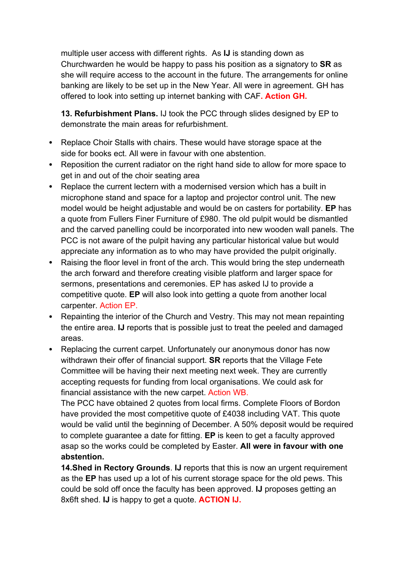multiple user access with different rights. As **IJ** is standing down as Churchwarden he would be happy to pass his position as a signatory to **SR** as she will require access to the account in the future. The arrangements for online banking are likely to be set up in the New Year. All were in agreement. GH has offered to look into setting up internet banking with CAF**. Action GH.**

**13. Refurbishment Plans.** IJ took the PCC through slides designed by EP to demonstrate the main areas for refurbishment.

- Replace Choir Stalls with chairs. These would have storage space at the side for books ect. All were in favour with one abstention.
- Reposition the current radiator on the right hand side to allow for more space to get in and out of the choir seating area
- Replace the current lectern with a modernised version which has a built in microphone stand and space for a laptop and projector control unit. The new model would be height adjustable and would be on casters for portability. **EP** has a quote from Fullers Finer Furniture of £980. The old pulpit would be dismantled and the carved panelling could be incorporated into new wooden wall panels. The PCC is not aware of the pulpit having any particular historical value but would appreciate any information as to who may have provided the pulpit originally.
- Raising the floor level in front of the arch. This would bring the step underneath the arch forward and therefore creating visible platform and larger space for sermons, presentations and ceremonies. EP has asked IJ to provide a competitive quote. **EP** will also look into getting a quote from another local carpenter. Action EP.
- Repainting the interior of the Church and Vestry. This may not mean repainting the entire area. **IJ** reports that is possible just to treat the peeled and damaged areas.
- Replacing the current carpet. Unfortunately our anonymous donor has now withdrawn their offer of financial support. **SR** reports that the Village Fete Committee will be having their next meeting next week. They are currently accepting requests for funding from local organisations. We could ask for financial assistance with the new carpet. Action WB.

The PCC have obtained 2 quotes from local firms. Complete Floors of Bordon have provided the most competitive quote of £4038 including VAT. This quote would be valid until the beginning of December. A 50% deposit would be required to complete guarantee a date for fitting. **EP** is keen to get a faculty approved asap so the works could be completed by Easter. **All were in favour with one abstention.**

**14.Shed in Rectory Grounds**. **IJ** reports that this is now an urgent requirement as the **EP** has used up a lot of his current storage space for the old pews. This could be sold off once the faculty has been approved. **IJ** proposes getting an 8x6ft shed. **IJ** is happy to get a quote. **ACTION IJ.**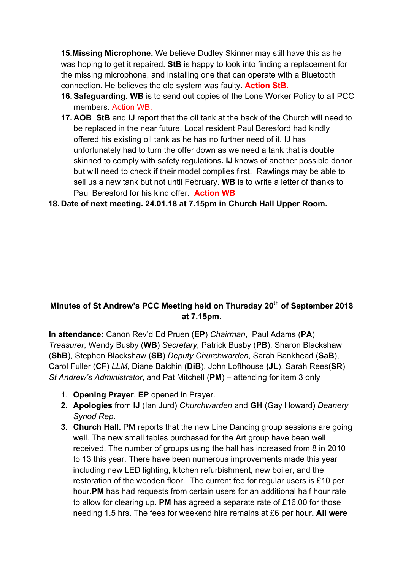**15.Missing Microphone.** We believe Dudley Skinner may still have this as he was hoping to get it repaired. **StB** is happy to look into finding a replacement for the missing microphone, and installing one that can operate with a Bluetooth connection. He believes the old system was faulty. **Action StB.**

- **16. Safeguarding. WB** is to send out copies of the Lone Worker Policy to all PCC members. Action WB.
- **17. AOB StB** and **IJ** report that the oil tank at the back of the Church will need to be replaced in the near future. Local resident Paul Beresford had kindly offered his existing oil tank as he has no further need of it. IJ has unfortunately had to turn the offer down as we need a tank that is double skinned to comply with safety regulations**. IJ** knows of another possible donor but will need to check if their model complies first. Rawlings may be able to sell us a new tank but not until February. **WB** is to write a letter of thanks to Paul Beresford for his kind offer**. Action WB**

### **18. Date of next meeting. 24.01.18 at 7.15pm in Church Hall Upper Room.**

# **Minutes of St Andrew's PCC Meeting held on Thursday 20th of September 2018 at 7.15pm.**

**In attendance:** Canon Rev'd Ed Pruen (**EP**) *Chairman*, Paul Adams (**PA**) *Treasurer*, Wendy Busby (**WB**) *Secretary*, Patrick Busby (**PB**), Sharon Blackshaw (**ShB**), Stephen Blackshaw (**SB**) *Deputy Churchwarden*, Sarah Bankhead (**SaB**), Carol Fuller (**CF**) *LLM*, Diane Balchin (**DiB**), John Lofthouse **(JL**), Sarah Rees(**SR**) *St Andrew's Administrator*, and Pat Mitchell (**PM**) – attending for item 3 only

- 1. **Opening Prayer**. **EP** opened in Prayer.
- **2. Apologies** from **IJ** (Ian Jurd) *Churchwarden* and **GH** (Gay Howard) *Deanery Synod Rep*.
- **3. Church Hall.** PM reports that the new Line Dancing group sessions are going well. The new small tables purchased for the Art group have been well received. The number of groups using the hall has increased from 8 in 2010 to 13 this year. There have been numerous improvements made this year including new LED lighting, kitchen refurbishment, new boiler, and the restoration of the wooden floor. The current fee for regular users is £10 per hour.**PM** has had requests from certain users for an additional half hour rate to allow for clearing up. **PM** has agreed a separate rate of £16.00 for those needing 1.5 hrs. The fees for weekend hire remains at £6 per hour**. All were**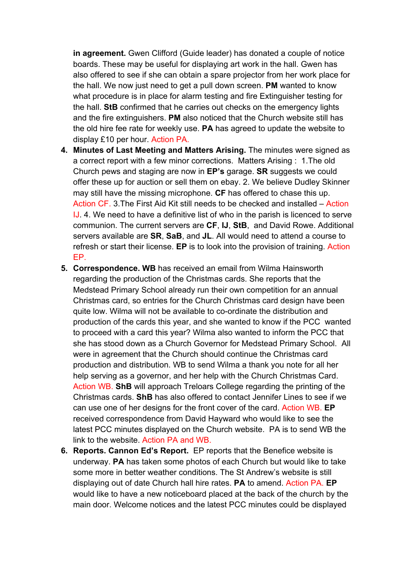**in agreement.** Gwen Clifford (Guide leader) has donated a couple of notice boards. These may be useful for displaying art work in the hall. Gwen has also offered to see if she can obtain a spare projector from her work place for the hall. We now just need to get a pull down screen. **PM** wanted to know what procedure is in place for alarm testing and fire Extinguisher testing for the hall. **StB** confirmed that he carries out checks on the emergency lights and the fire extinguishers. **PM** also noticed that the Church website still has the old hire fee rate for weekly use. **PA** has agreed to update the website to display £10 per hour. Action PA.

- **4. Minutes of Last Meeting and Matters Arising.** The minutes were signed as a correct report with a few minor corrections. Matters Arising : 1.The old Church pews and staging are now in **EP's** garage. **SR** suggests we could offer these up for auction or sell them on ebay. 2. We believe Dudley Skinner may still have the missing microphone. **CF** has offered to chase this up. Action CF. 3.The First Aid Kit still needs to be checked and installed – Action IJ. 4. We need to have a definitive list of who in the parish is licenced to serve communion. The current servers are **CF**, **IJ**, **StB**, and David Rowe. Additional servers available are **SR**, **SaB**, and **JL**. All would need to attend a course to refresh or start their license. **EP** is to look into the provision of training. Action EP.
- **5. Correspondence. WB** has received an email from Wilma Hainsworth regarding the production of the Christmas cards. She reports that the Medstead Primary School already run their own competition for an annual Christmas card, so entries for the Church Christmas card design have been quite low. Wilma will not be available to co-ordinate the distribution and production of the cards this year, and she wanted to know if the PCC wanted to proceed with a card this year? Wilma also wanted to inform the PCC that she has stood down as a Church Governor for Medstead Primary School. All were in agreement that the Church should continue the Christmas card production and distribution. WB to send Wilma a thank you note for all her help serving as a governor, and her help with the Church Christmas Card. Action WB. **ShB** will approach Treloars College regarding the printing of the Christmas cards. **ShB** has also offered to contact Jennifer Lines to see if we can use one of her designs for the front cover of the card. Action WB. **EP**  received correspondence from David Hayward who would like to see the latest PCC minutes displayed on the Church website. PA is to send WB the link to the website. Action PA and WB.
- **6. Reports. Cannon Ed's Report.** EP reports that the Benefice website is underway. **PA** has taken some photos of each Church but would like to take some more in better weather conditions. The St Andrew's website is still displaying out of date Church hall hire rates. **PA** to amend. Action PA. **EP** would like to have a new noticeboard placed at the back of the church by the main door. Welcome notices and the latest PCC minutes could be displayed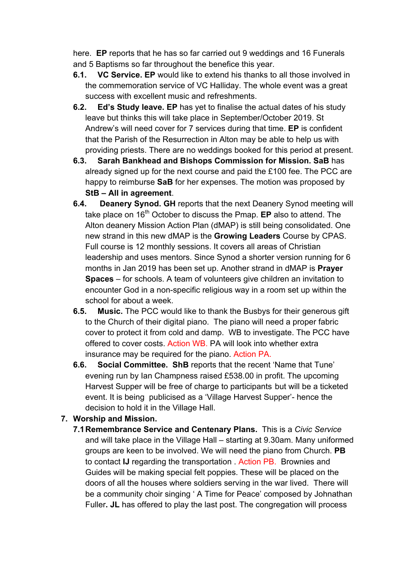here. **EP** reports that he has so far carried out 9 weddings and 16 Funerals and 5 Baptisms so far throughout the benefice this year.

- **6.1. VC Service. EP** would like to extend his thanks to all those involved in the commemoration service of VC Halliday. The whole event was a great success with excellent music and refreshments.
- **6.2. Ed's Study leave. EP** has yet to finalise the actual dates of his study leave but thinks this will take place in September/October 2019. St Andrew's will need cover for 7 services during that time. **EP** is confident that the Parish of the Resurrection in Alton may be able to help us with providing priests. There are no weddings booked for this period at present.
- **6.3. Sarah Bankhead and Bishops Commission for Mission. SaB** has already signed up for the next course and paid the £100 fee. The PCC are happy to reimburse **SaB** for her expenses. The motion was proposed by **StB – All in agreement**.
- **6.4. Deanery Synod. GH** reports that the next Deanery Synod meeting will take place on 16th October to discuss the Pmap. **EP** also to attend. The Alton deanery Mission Action Plan (dMAP) is still being consolidated. One new strand in this new dMAP is the **Growing Leaders** Course by CPAS. Full course is 12 monthly sessions. It covers all areas of Christian leadership and uses mentors. Since Synod a shorter version running for 6 months in Jan 2019 has been set up. Another strand in dMAP is **Prayer Spaces** – for schools. A team of volunteers give children an invitation to encounter God in a non-specific religious way in a room set up within the school for about a week.
- **6.5. Music.** The PCC would like to thank the Busbys for their generous gift to the Church of their digital piano. The piano will need a proper fabric cover to protect it from cold and damp. WB to investigate. The PCC have offered to cover costs. Action WB. PA will look into whether extra insurance may be required for the piano. Action PA.
- **6.6. Social Committee. ShB** reports that the recent 'Name that Tune' evening run by Ian Champness raised £538.00 in profit. The upcoming Harvest Supper will be free of charge to participants but will be a ticketed event. It is being publicised as a 'Village Harvest Supper'- hence the decision to hold it in the Village Hall.

# **7. Worship and Mission.**

**7.1Remembrance Service and Centenary Plans.** This is a *Civic Service* and will take place in the Village Hall – starting at 9.30am. Many uniformed groups are keen to be involved. We will need the piano from Church. **PB** to contact **IJ** regarding the transportation . Action PB. Brownies and Guides will be making special felt poppies. These will be placed on the doors of all the houses where soldiers serving in the war lived. There will be a community choir singing ' A Time for Peace' composed by Johnathan Fuller**. JL** has offered to play the last post. The congregation will process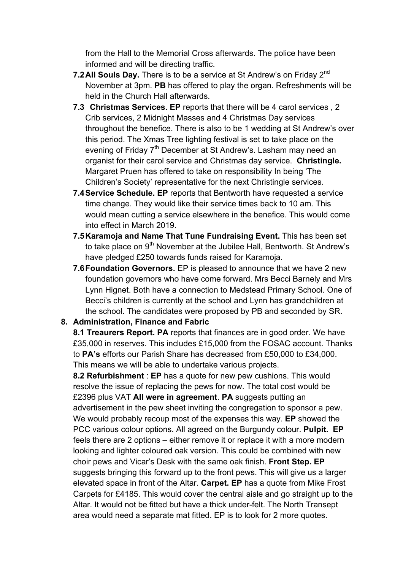from the Hall to the Memorial Cross afterwards. The police have been informed and will be directing traffic.

- **7.2 All Souls Day.** There is to be a service at St Andrew's on Friday 2<sup>nd</sup> November at 3pm. **PB** has offered to play the organ. Refreshments will be held in the Church Hall afterwards.
- **7.3 Christmas Services. EP** reports that there will be 4 carol services , 2 Crib services, 2 Midnight Masses and 4 Christmas Day services throughout the benefice. There is also to be 1 wedding at St Andrew's over this period. The Xmas Tree lighting festival is set to take place on the evening of Friday 7<sup>th</sup> December at St Andrew's. Lasham may need an organist for their carol service and Christmas day service. **Christingle.**  Margaret Pruen has offered to take on responsibility In being 'The Children's Society' representative for the next Christingle services.
- **7.4Service Schedule. EP** reports that Bentworth have requested a service time change. They would like their service times back to 10 am. This would mean cutting a service elsewhere in the benefice. This would come into effect in March 2019.
- **7.5Karamoja and Name That Tune Fundraising Event.** This has been set to take place on 9<sup>th</sup> November at the Jubilee Hall, Bentworth. St Andrew's have pledged £250 towards funds raised for Karamoja.
- **7.6Foundation Governors.** EP is pleased to announce that we have 2 new foundation governors who have come forward. Mrs Becci Barnely and Mrs Lynn Hignet. Both have a connection to Medstead Primary School. One of Becci's children is currently at the school and Lynn has grandchildren at the school. The candidates were proposed by PB and seconded by SR.

#### **8. Administration, Finance and Fabric**

**8.1 Treaurers Report. PA** reports that finances are in good order. We have £35,000 in reserves. This includes £15,000 from the FOSAC account. Thanks to **PA's** efforts our Parish Share has decreased from £50,000 to £34,000. This means we will be able to undertake various projects.

**8.2 Refurbishment** : **EP** has a quote for new pew cushions. This would resolve the issue of replacing the pews for now. The total cost would be £2396 plus VAT **All were in agreement**. **PA** suggests putting an advertisement in the pew sheet inviting the congregation to sponsor a pew. We would probably recoup most of the expenses this way. **EP** showed the PCC various colour options. All agreed on the Burgundy colour. **Pulpit. EP**  feels there are 2 options – either remove it or replace it with a more modern looking and lighter coloured oak version. This could be combined with new choir pews and Vicar's Desk with the same oak finish. **Front Step. EP** suggests bringing this forward up to the front pews. This will give us a larger elevated space in front of the Altar. **Carpet. EP** has a quote from Mike Frost Carpets for £4185. This would cover the central aisle and go straight up to the Altar. It would not be fitted but have a thick under-felt. The North Transept area would need a separate mat fitted. EP is to look for 2 more quotes.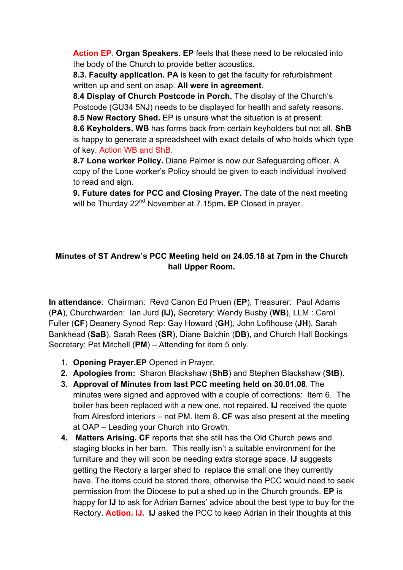**Action EP**. **Organ Speakers. EP** feels that these need to be relocated into the body of the Church to provide better acoustics.

**8.3. Faculty application. PA** is keen to get the faculty for refurbishment written up and sent on asap. **All were in agreement**.

**8.4 Display of Church Postcode in Porch.** The display of the Church's Postcode (GU34 5NJ) needs to be displayed for health and safety reasons. **8.5 New Rectory Shed.** EP is unsure what the situation is at present.

**8.6 Keyholders. WB** has forms back from certain keyholders but not all. **ShB** is happy to generate a spreadsheet with exact details of who holds which type of key. Action WB and ShB.

**8.7 Lone worker Policy.** Diane Palmer is now our Safeguarding officer. A copy of the Lone worker's Policy should be given to each individual involved to read and sign.

**9. Future dates for PCC and Closing Prayer.** The date of the next meeting will be Thurday 22<sup>nd</sup> November at 7.15pm. EP Closed in prayer.

### **Minutes of ST Andrew's PCC Meeting held on 24.05.18 at 7pm in the Church hall Upper Room.**

**In attendance**: Chairman: Revd Canon Ed Pruen (**EP**), Treasurer: Paul Adams (**PA**), Churchwarden: Ian Jurd **(IJ),** Secretary: Wendy Busby (**WB**), LLM : Carol Fuller (**CF**) Deanery Synod Rep: Gay Howard (**GH**), John Lofthouse (**JH**), Sarah Bankhead (**SaB**), Sarah Rees (**SR**), Diane Balchin (**DB**), and Church Hall Bookings Secretary: Pat Mitchell (**PM**) – Attending for item 5 only.

- 1. **Opening Prayer.EP** Opened in Prayer.
- **2. Apologies from:** Sharon Blackshaw (**ShB**) and Stephen Blackshaw (**StB**).
- **3. Approval of Minutes from last PCC meeting held on 30.01.08**. The minutes were signed and approved with a couple of corrections: Item 6. The boiler has been replaced with a new one, not repaired. **IJ** received the quote from Alresford interiors – not PM. Item 8. **CF** was also present at the meeting at OAP – Leading your Church into Growth.
- **4. Matters Arising. CF** reports that she still has the Old Church pews and staging blocks in her barn. This really isn't a suitable environment for the furniture and they will soon be needing extra storage space. **IJ** suggests getting the Rectory a larger shed to replace the small one they currently have. The items could be stored there, otherwise the PCC would need to seek permission from the Diocese to put a shed up in the Church grounds. **EP** is happy for **IJ** to ask for Adrian Barnes' advice about the best type to buy for the Rectory. **Action. IJ. IJ** asked the PCC to keep Adrian in their thoughts at this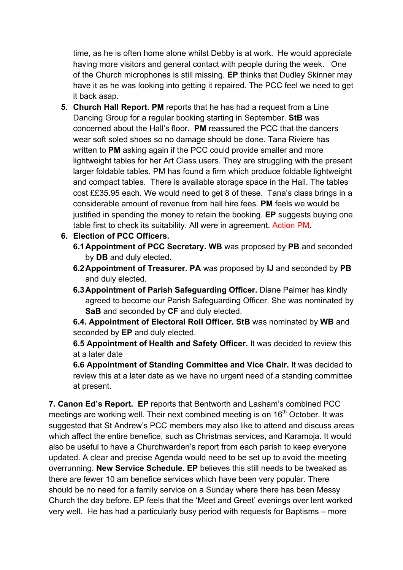time, as he is often home alone whilst Debby is at work. He would appreciate having more visitors and general contact with people during the week. One of the Church microphones is still missing. **EP** thinks that Dudley Skinner may have it as he was looking into getting it repaired. The PCC feel we need to get it back asap.

**5. Church Hall Report. PM** reports that he has had a request from a Line Dancing Group for a regular booking starting in September. **StB** was concerned about the Hall's floor. **PM** reassured the PCC that the dancers wear soft soled shoes so no damage should be done. Tana Riviere has written to **PM** asking again if the PCC could provide smaller and more lightweight tables for her Art Class users. They are struggling with the present larger foldable tables. PM has found a firm which produce foldable lightweight and compact tables. There is available storage space in the Hall. The tables cost ££35.95 each. We would need to get 8 of these. Tana's class brings in a considerable amount of revenue from hall hire fees. **PM** feels we would be justified in spending the money to retain the booking. **EP** suggests buying one table first to check its suitability. All were in agreement. Action PM.

# **6. Election of PCC Officers.**

- **6.1Appointment of PCC Secretary. WB** was proposed by **PB** and seconded by **DB** and duly elected.
- **6.2Appointment of Treasurer. PA** was proposed by **IJ** and seconded by **PB** and duly elected.
- **6.3Appointment of Parish Safeguarding Officer.** Diane Palmer has kindly agreed to become our Parish Safeguarding Officer. She was nominated by **SaB** and seconded by **CF** and duly elected.

**6.4. Appointment of Electoral Roll Officer. StB** was nominated by **WB** and seconded by **EP** and duly elected.

**6.5 Appointment of Health and Safety Officer.** It was decided to review this at a later date

**6.6 Appointment of Standing Committee and Vice Chair.** It was decided to review this at a later date as we have no urgent need of a standing committee at present.

**7. Canon Ed's Report. EP** reports that Bentworth and Lasham's combined PCC meetings are working well. Their next combined meeting is on 16<sup>th</sup> October. It was suggested that St Andrew's PCC members may also like to attend and discuss areas which affect the entire benefice, such as Christmas services, and Karamoja. It would also be useful to have a Churchwarden's report from each parish to keep everyone updated. A clear and precise Agenda would need to be set up to avoid the meeting overrunning. **New Service Schedule. EP** believes this still needs to be tweaked as there are fewer 10 am benefice services which have been very popular. There should be no need for a family service on a Sunday where there has been Messy Church the day before. EP feels that the 'Meet and Greet' evenings over lent worked very well. He has had a particularly busy period with requests for Baptisms – more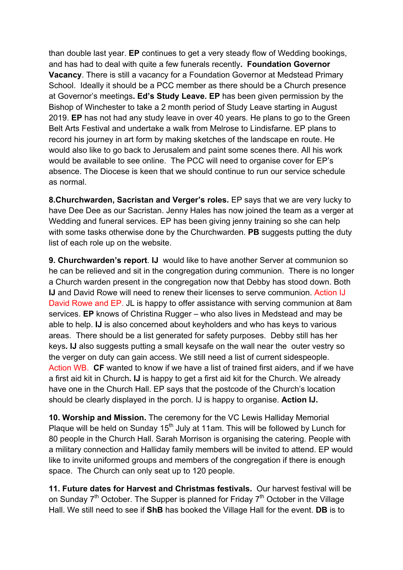than double last year. **EP** continues to get a very steady flow of Wedding bookings, and has had to deal with quite a few funerals recently**. Foundation Governor Vacancy**. There is still a vacancy for a Foundation Governor at Medstead Primary School. Ideally it should be a PCC member as there should be a Church presence at Governor's meetings**. Ed's Study Leave. EP** has been given permission by the Bishop of Winchester to take a 2 month period of Study Leave starting in August 2019. **EP** has not had any study leave in over 40 years. He plans to go to the Green Belt Arts Festival and undertake a walk from Melrose to Lindisfarne. EP plans to record his journey in art form by making sketches of the landscape en route. He would also like to go back to Jerusalem and paint some scenes there. All his work would be available to see online. The PCC will need to organise cover for EP's absence. The Diocese is keen that we should continue to run our service schedule as normal.

**8.Churchwarden, Sacristan and Verger's roles.** EP says that we are very lucky to have Dee Dee as our Sacristan. Jenny Hales has now joined the team as a verger at Wedding and funeral services. EP has been giving jenny training so she can help with some tasks otherwise done by the Churchwarden. **PB** suggests putting the duty list of each role up on the website.

**9. Churchwarden's report**. **IJ** would like to have another Server at communion so he can be relieved and sit in the congregation during communion. There is no longer a Church warden present in the congregation now that Debby has stood down. Both **IJ** and David Rowe will need to renew their licenses to serve communion. Action IJ David Rowe and EP. JL is happy to offer assistance with serving communion at 8am services. **EP** knows of Christina Rugger – who also lives in Medstead and may be able to help. **IJ** is also concerned about keyholders and who has keys to various areas. There should be a list generated for safety purposes. Debby still has her keys**. IJ** also suggests putting a small keysafe on the wall near the outer vestry so the verger on duty can gain access. We still need a list of current sidespeople. Action WB. **CF** wanted to know if we have a list of trained first aiders, and if we have a first aid kit in Church**. IJ** is happy to get a first aid kit for the Church. We already have one in the Church Hall. EP says that the postcode of the Church's location should be clearly displayed in the porch. IJ is happy to organise. **Action IJ.**

**10. Worship and Mission.** The ceremony for the VC Lewis Halliday Memorial Plaque will be held on Sunday 15<sup>th</sup> July at 11am. This will be followed by Lunch for 80 people in the Church Hall. Sarah Morrison is organising the catering. People with a military connection and Halliday family members will be invited to attend. EP would like to invite uniformed groups and members of the congregation if there is enough space. The Church can only seat up to 120 people.

**11. Future dates for Harvest and Christmas festivals.** Our harvest festival will be on Sunday  $7<sup>th</sup>$  October. The Supper is planned for Friday  $7<sup>th</sup>$  October in the Village Hall. We still need to see if **ShB** has booked the Village Hall for the event. **DB** is to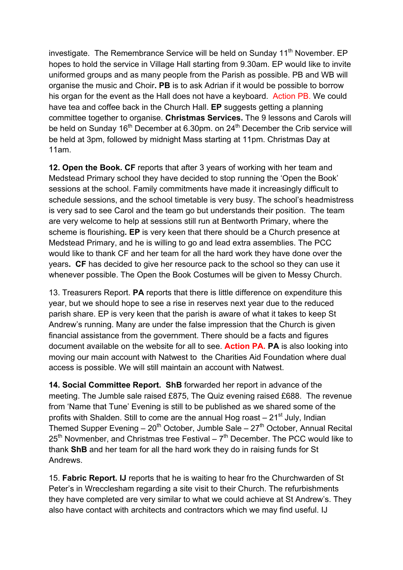investigate. The Remembrance Service will be held on Sunday  $11<sup>th</sup>$  November. EP hopes to hold the service in Village Hall starting from 9.30am. EP would like to invite uniformed groups and as many people from the Parish as possible. PB and WB will organise the music and Choir**. PB** is to ask Adrian if it would be possible to borrow his organ for the event as the Hall does not have a keyboard. Action PB. We could have tea and coffee back in the Church Hall. **EP** suggests getting a planning committee together to organise. **Christmas Services.** The 9 lessons and Carols will be held on Sunday 16<sup>th</sup> December at 6.30pm. on 24<sup>th</sup> December the Crib service will be held at 3pm, followed by midnight Mass starting at 11pm. Christmas Day at 11am.

**12. Open the Book. CF** reports that after 3 years of working with her team and Medstead Primary school they have decided to stop running the 'Open the Book' sessions at the school. Family commitments have made it increasingly difficult to schedule sessions, and the school timetable is very busy. The school's headmistress is very sad to see Carol and the team go but understands their position. The team are very welcome to help at sessions still run at Bentworth Primary, where the scheme is flourishing**. EP** is very keen that there should be a Church presence at Medstead Primary, and he is willing to go and lead extra assemblies. The PCC would like to thank CF and her team for all the hard work they have done over the years**. CF** has decided to give her resource pack to the school so they can use it whenever possible. The Open the Book Costumes will be given to Messy Church.

13. Treasurers Report. **PA** reports that there is little difference on expenditure this year, but we should hope to see a rise in reserves next year due to the reduced parish share. EP is very keen that the parish is aware of what it takes to keep St Andrew's running. Many are under the false impression that the Church is given financial assistance from the government. There should be a facts and figures document available on the website for all to see. **Action PA. PA** is also looking into moving our main account with Natwest to the Charities Aid Foundation where dual access is possible. We will still maintain an account with Natwest.

**14. Social Committee Report. ShB** forwarded her report in advance of the meeting. The Jumble sale raised £875, The Quiz evening raised £688. The revenue from 'Name that Tune' Evening is still to be published as we shared some of the profits with Shalden. Still to come are the annual Hog roast  $-21<sup>st</sup>$  July, Indian Themed Supper Evening –  $20<sup>th</sup>$  October, Jumble Sale –  $27<sup>th</sup>$  October, Annual Recital  $25<sup>th</sup>$  Novmenber, and Christmas tree Festival –  $7<sup>th</sup>$  December. The PCC would like to thank **ShB** and her team for all the hard work they do in raising funds for St Andrews.

15. **Fabric Report. IJ** reports that he is waiting to hear fro the Churchwarden of St Peter's in Wrecclesham regarding a site visit to their Church. The refurbishments they have completed are very similar to what we could achieve at St Andrew's. They also have contact with architects and contractors which we may find useful. IJ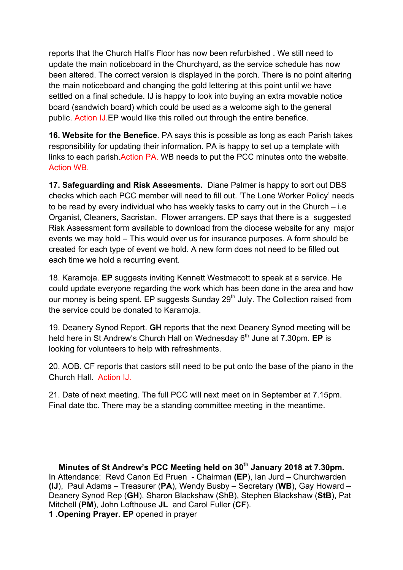reports that the Church Hall's Floor has now been refurbished . We still need to update the main noticeboard in the Churchyard, as the service schedule has now been altered. The correct version is displayed in the porch. There is no point altering the main noticeboard and changing the gold lettering at this point until we have settled on a final schedule. IJ is happy to look into buying an extra movable notice board (sandwich board) which could be used as a welcome sigh to the general public. Action IJ.EP would like this rolled out through the entire benefice.

**16. Website for the Benefice**. PA says this is possible as long as each Parish takes responsibility for updating their information. PA is happy to set up a template with links to each parish.Action PA. WB needs to put the PCC minutes onto the website. Action WB.

**17. Safeguarding and Risk Assesments.** Diane Palmer is happy to sort out DBS checks which each PCC member will need to fill out. 'The Lone Worker Policy' needs to be read by every individual who has weekly tasks to carry out in the Church – i.e Organist, Cleaners, Sacristan, Flower arrangers. EP says that there is a suggested Risk Assessment form available to download from the diocese website for any major events we may hold – This would over us for insurance purposes. A form should be created for each type of event we hold. A new form does not need to be filled out each time we hold a recurring event.

18. Karamoja. **EP** suggests inviting Kennett Westmacott to speak at a service. He could update everyone regarding the work which has been done in the area and how our money is being spent. EP suggests Sunday 29<sup>th</sup> July. The Collection raised from the service could be donated to Karamoja.

19. Deanery Synod Report. **GH** reports that the next Deanery Synod meeting will be held here in St Andrew's Church Hall on Wednesday 6<sup>th</sup> June at 7.30pm. **EP** is looking for volunteers to help with refreshments.

20. AOB. CF reports that castors still need to be put onto the base of the piano in the Church Hall. Action IJ.

21. Date of next meeting. The full PCC will next meet on in September at 7.15pm. Final date tbc. There may be a standing committee meeting in the meantime.

**Minutes of St Andrew's PCC Meeting held on 30th January 2018 at 7.30pm.** In Attendance: Revd Canon Ed Pruen - Chairman **(EP**), Ian Jurd – Churchwarden **(IJ**), Paul Adams – Treasurer (**PA**), Wendy Busby – Secretary (**WB**), Gay Howard – Deanery Synod Rep (**GH**), Sharon Blackshaw (ShB), Stephen Blackshaw (**StB**), Pat Mitchell (**PM**), John Lofthouse **JL** and Carol Fuller (**CF**).

**1 .Opening Prayer. EP** opened in prayer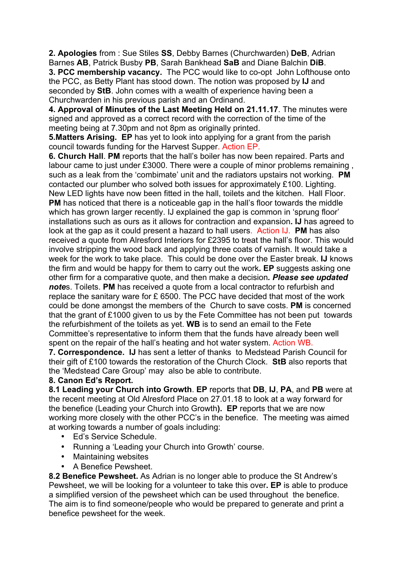**2. Apologies** from : Sue Stiles **SS**, Debby Barnes (Churchwarden) **DeB**, Adrian Barnes **AB**, Patrick Busby **PB**, Sarah Bankhead **SaB** and Diane Balchin **DiB**. **3. PCC membership vacancy.** The PCC would like to co-opt John Lofthouse onto the PCC, as Betty Plant has stood down. The notion was proposed by **IJ** and seconded by **StB**. John comes with a wealth of experience having been a Churchwarden in his previous parish and an Ordinand.

**4. Approval of Minutes of the Last Meeting Held on 21.11.17**. The minutes were signed and approved as a correct record with the correction of the time of the meeting being at 7.30pm and not 8pm as originally printed.

**5.Matters Arising. EP** has yet to look into applying for a grant from the parish council towards funding for the Harvest Supper. Action EP.

**6. Church Hall**. **PM** reports that the hall's boiler has now been repaired. Parts and labour came to just under £3000. There were a couple of minor problems remaining , such as a leak from the 'combimate' unit and the radiators upstairs not working. **PM** contacted our plumber who solved both issues for approximately £100. Lighting. New LED lights have now been fitted in the hall, toilets and the kitchen. Hall Floor. **PM** has noticed that there is a noticeable gap in the hall's floor towards the middle which has grown larger recently. IJ explained the gap is common in 'sprung floor' installations such as ours as it allows for contraction and expansion**. IJ** has agreed to look at the gap as it could present a hazard to hall users. Action IJ. **PM** has also received a quote from Alresford Interiors for £2395 to treat the hall's floor. This would involve stripping the wood back and applying three coats of varnish. It would take a week for the work to take place. This could be done over the Easter break. **IJ** knows the firm and would be happy for them to carry out the work**. EP** suggests asking one other firm for a comparative quote, and then make a decision*. Please see updated note*s. Toilets. **PM** has received a quote from a local contractor to refurbish and replace the sanitary ware for £ 6500. The PCC have decided that most of the work could be done amongst the members of the Church to save costs. **PM** is concerned that the grant of £1000 given to us by the Fete Committee has not been put towards the refurbishment of the toilets as yet. **WB** is to send an email to the Fete Committee's representative to inform them that the funds have already been well spent on the repair of the hall's heating and hot water system. Action WB. **7. Correspondence. IJ** has sent a letter of thanks to Medstead Parish Council for their gift of £100 towards the restoration of the Church Clock. **StB** also reports that

the 'Medstead Care Group' may also be able to contribute.

### **8. Canon Ed's Report.**

**8.1 Leading your Church into Growth**. **EP** reports that **DB**, **IJ**, **PA**, and **PB** were at the recent meeting at Old Alresford Place on 27.01.18 to look at a way forward for the benefice (Leading your Church into Growth**). EP** reports that we are now working more closely with the other PCC's in the benefice. The meeting was aimed at working towards a number of goals including:

- Ed's Service Schedule.
- Running a 'Leading your Church into Growth' course.
- Maintaining websites
- A Benefice Pewsheet.

**8.2 Benefice Pewsheet.** As Adrian is no longer able to produce the St Andrew's Pewsheet, we will be looking for a volunteer to take this over**. EP** is able to produce a simplified version of the pewsheet which can be used throughout the benefice. The aim is to find someone/people who would be prepared to generate and print a benefice pewsheet for the week.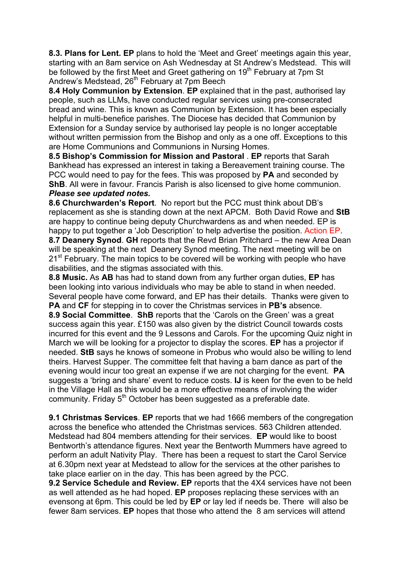**8.3. Plans for Lent. EP** plans to hold the 'Meet and Greet' meetings again this year, starting with an 8am service on Ash Wednesday at St Andrew's Medstead. This will be followed by the first Meet and Greet gathering on 19<sup>th</sup> February at 7pm St Andrew's Medstead, 26<sup>th</sup> February at 7pm Beech

**8.4 Holy Communion by Extension**. **EP** explained that in the past, authorised lay people, such as LLMs, have conducted regular services using pre-consecrated bread and wine. This is known as Communion by Extension. It has been especially helpful in multi-benefice parishes. The Diocese has decided that Communion by Extension for a Sunday service by authorised lay people is no longer acceptable without written permission from the Bishop and only as a one off. Exceptions to this are Home Communions and Communions in Nursing Homes.

**8.5 Bishop's Commission for Mission and Pastoral** . **EP** reports that Sarah Bankhead has expressed an interest in taking a Bereavement training course. The PCC would need to pay for the fees. This was proposed by **PA** and seconded by **ShB**. All were in favour. Francis Parish is also licensed to give home communion. *Please see updated notes.*

**8.6 Churchwarden's Report**. No report but the PCC must think about DB's replacement as she is standing down at the next APCM. Both David Rowe and **StB** are happy to continue being deputy Churchwardens as and when needed. EP is happy to put together a 'Job Description' to help advertise the position. Action EP.

**8.7 Deanery Synod**. **GH** reports that the Revd Brian Pritchard – the new Area Dean will be speaking at the next Deanery Synod meeting. The next meeting will be on 21<sup>st</sup> February. The main topics to be covered will be working with people who have disabilities, and the stigmas associated with this.

**8.8 Music.** As **AB** has had to stand down from any further organ duties, **EP** has been looking into various individuals who may be able to stand in when needed. Several people have come forward, and EP has their details. Thanks were given to **PA** and **CF** for stepping in to cover the Christmas services in **PB's** absence. **8.9 Social Committee**. **ShB** reports that the 'Carols on the Green' was a great success again this year. £150 was also given by the district Council towards costs incurred for this event and the 9 Lessons and Carols. For the upcoming Quiz night in March we will be looking for a projector to display the scores. **EP** has a projector if needed. **StB** says he knows of someone in Probus who would also be willing to lend theirs. Harvest Supper. The committee felt that having a barn dance as part of the evening would incur too great an expense if we are not charging for the event. **PA** suggests a 'bring and share' event to reduce costs. **IJ** is keen for the even to be held in the Village Hall as this would be a more effective means of involving the wider community. Friday 5<sup>th</sup> October has been suggested as a preferable date.

**9.1 Christmas Services**. **EP** reports that we had 1666 members of the congregation across the benefice who attended the Christmas services. 563 Children attended. Medstead had 804 members attending for their services. **EP** would like to boost Bentworth's attendance figures. Next year the Bentworth Mummers have agreed to perform an adult Nativity Play. There has been a request to start the Carol Service at 6.30pm next year at Medstead to allow for the services at the other parishes to take place earlier on in the day. This has been agreed by the PCC.

**9.2 Service Schedule and Review. EP** reports that the 4X4 services have not been as well attended as he had hoped. **EP** proposes replacing these services with an evensong at 6pm. This could be led by **EP** or lay led if needs be. There will also be fewer 8am services. **EP** hopes that those who attend the 8 am services will attend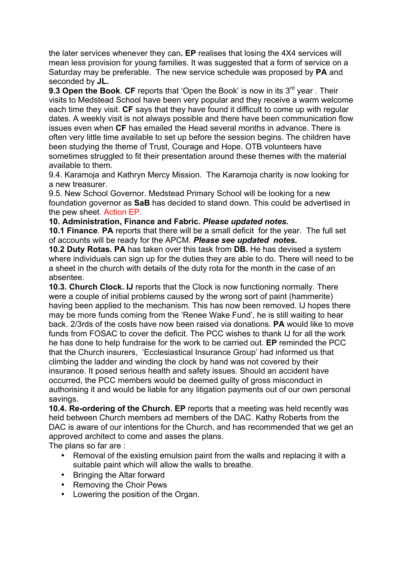the later services whenever they can**. EP** realises that losing the 4X4 services will mean less provision for young families. It was suggested that a form of service on a Saturday may be preferable. The new service schedule was proposed by **PA** and seconded by **JL.**

**9.3 Open the Book. CF** reports that 'Open the Book' is now in its 3<sup>rd</sup> year. Their visits to Medstead School have been very popular and they receive a warm welcome each time they visit. **CF** says that they have found it difficult to come up with regular dates. A weekly visit is not always possible and there have been communication flow issues even when **CF** has emailed the Head several months in advance. There is often very little time available to set up before the session begins. The children have been studying the theme of Trust, Courage and Hope. OTB volunteers have sometimes struggled to fit their presentation around these themes with the material available to them.

9.4. Karamoja and Kathryn Mercy Mission. The Karamoja charity is now looking for a new treasurer.

9.5. New School Governor. Medstead Primary School will be looking for a new foundation governor as **SaB** has decided to stand down. This could be advertised in the pew sheet. Action EP.

#### **10. Administration, Finance and Fabric.** *Please updated notes.*

**10.1 Finance**. **PA** reports that there will be a small deficit for the year. The full set of accounts will be ready for the APCM. *Please see updated notes.*

**10.2 Duty Rotas. PA** has taken over this task from **DB.** He has devised a system where individuals can sign up for the duties they are able to do. There will need to be a sheet in the church with details of the duty rota for the month in the case of an absentee.

**10.3. Church Clock. IJ** reports that the Clock is now functioning normally. There were a couple of initial problems caused by the wrong sort of paint (hammerite) having been applied to the mechanism. This has now been removed. IJ hopes there may be more funds coming from the 'Renee Wake Fund', he is still waiting to hear back. 2/3rds of the costs have now been raised via donations. **PA** would like to move funds from FOSAC to cover the deficit. The PCC wishes to thank IJ for all the work he has done to help fundraise for the work to be carried out. **EP** reminded the PCC that the Church insurers, 'Ecclesiastical Insurance Group' had informed us that climbing the ladder and winding the clock by hand was not covered by their insurance. It posed serious health and safety issues. Should an accident have occurred, the PCC members would be deemed guilty of gross misconduct in authorising it and would be liable for any litigation payments out of our own personal savings.

**10.4. Re-ordering of the Church. EP** reports that a meeting was held recently was held between Church members ad members of the DAC. Kathy Roberts from the DAC is aware of our intentions for the Church, and has recommended that we get an approved architect to come and asses the plans.

The plans so far are :

- Removal of the existing emulsion paint from the walls and replacing it with a suitable paint which will allow the walls to breathe.
- Bringing the Altar forward
- Removing the Choir Pews
- Lowering the position of the Organ.